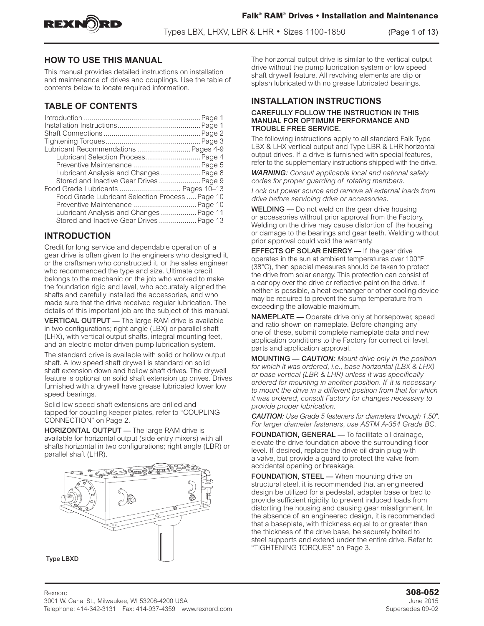



Types LBX, LHXV, LBR & LHR • Sizes 1100-1850 (Page 1 of 13)

# **HOW TO USE THIS MANUAL**

This manual provides detailed instructions on installation and maintenance of drives and couplings. Use the table of contents below to locate required information.

# **TABLE OF CONTENTS**

| Lubricant Recommendations  Pages 4-9            |  |
|-------------------------------------------------|--|
| Lubricant Selection Process Page 4              |  |
|                                                 |  |
| Lubricant Analysis and Changes  Page 8          |  |
| Stored and Inactive Gear Drives  Page 9         |  |
| Food Grade Lubricants  Pages 10-13              |  |
| Food Grade Lubricant Selection Process  Page 10 |  |
|                                                 |  |
| Lubricant Analysis and Changes Page 11          |  |
| Stored and Inactive Gear Drives  Page 13        |  |

# **INTRODUCTION**

Credit for long service and dependable operation of a gear drive is often given to the engineers who designed it, or the craftsmen who constructed it, or the sales engineer who recommended the type and size. Ultimate credit belongs to the mechanic on the job who worked to make the foundation rigid and level, who accurately aligned the shafts and carefully installed the accessories, and who made sure that the drive received regular lubrication. The details of this important job are the subject of this manual.

VERTICAL OUTPUT — The large RAM drive is available in two configurations; right angle (LBX) or parallel shaft (LHX), with vertical output shafts, integral mounting feet, and an electric motor driven pump lubrication system.

The standard drive is available with solid or hollow output shaft. A low speed shaft drywell is standard on solid shaft extension down and hollow shaft drives. The drywell feature is optional on solid shaft extension up drives. Drives furnished with a drywell have grease lubricated lower low speed bearings.

Solid low speed shaft extensions are drilled and tapped for coupling keeper plates, refer to "COUPLING CONNECTION" on Page 2.

HORIZONTAL OUTPUT — The large RAM drive is available for horizontal output (side entry mixers) with all shafts horizontal in two configurations; right angle (LBR) or parallel shaft (LHR).



The horizontal output drive is similar to the vertical output drive without the pump lubrication system or low speed shaft drywell feature. All revolving elements are dip or splash lubricated with no grease lubricated bearings.

# **INSTALLATION INSTRUCTIONS**

#### CAREFULLY FOLLOW THE INSTRUCTION IN THIS MANUAL FOR OPTIMUM PERFORMANCE AND TROUBLE FREE SERVICE.

The following instructions apply to all standard Falk Type LBX & LHX vertical output and Type LBR & LHR horizontal output drives. If a drive is furnished with special features, refer to the supplementary instructions shipped with the drive.

*WARNING: Consult applicable local and national safety codes for proper guarding of rotating members.* 

*Lock out power source and remove all external loads from drive before servicing drive or accessories.* 

WELDING — Do not weld on the gear drive housing or accessories without prior approval from the Factory. Welding on the drive may cause distortion of the housing or damage to the bearings and gear teeth. Welding without prior approval could void the warranty.

**EFFECTS OF SOLAR ENERGY** - If the gear drive operates in the sun at ambient temperatures over 100°F (38°C), then special measures should be taken to protect the drive from solar energy. This protection can consist of a canopy over the drive or reflective paint on the drive. If neither is possible, a heat exchanger or other cooling device may be required to prevent the sump temperature from exceeding the allowable maximum.

NAMEPLATE — Operate drive only at horsepower, speed and ratio shown on nameplate. Before changing any one of these, submit complete nameplate data and new application conditions to the Factory for correct oil level, parts and application approval.

MOUNTING — *CAUTION: Mount drive only in the position for which it was ordered, i.e., base horizontal (LBX & LHX) or base vertical (LBR & LHR) unless it was specifically ordered for mounting in another position. If it is necessary to mount the drive in a different position from that for which it was ordered, consult Factory for changes necessary to provide proper lubrication.* 

*CAUTION: Use Grade 5 fasteners for diameters through 1.50". For larger diameter fasteners, use ASTM A-354 Grade BC.* 

FOUNDATION, GENERAL — To facilitate oil drainage, elevate the drive foundation above the surrounding floor level. If desired, replace the drive oil drain plug with a valve, but provide a guard to protect the valve from accidental opening or breakage.

FOUNDATION, STEEL — When mounting drive on structural steel, it is recommended that an engineered design be utilized for a pedestal, adapter base or bed to provide sufficient rigidity, to prevent induced loads from distorting the housing and causing gear misalignment. In the absence of an engineered design, it is recommended that a baseplate, with thickness equal to or greater than the thickness of the drive base, be securely bolted to steel supports and extend under the entire drive. Refer to "TIGHTENING TORQUES" on Page 3.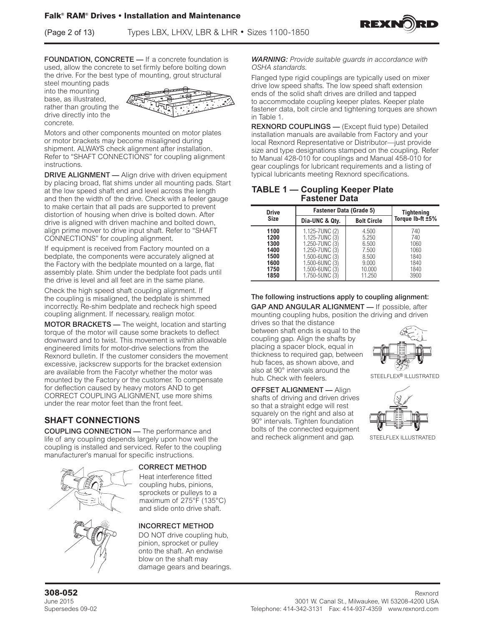(Page 2 of 13) Types LBX, LHXV, LBR & LHR • Sizes 1100-1850



FOUNDATION, CONCRETE — If a concrete foundation is used, allow the concrete to set firmly before bolting down the drive. For the best type of mounting, grout structural

steel mounting pads into the mounting base, as illustrated, rather than grouting the drive directly into the concrete.



Motors and other components mounted on motor plates or motor brackets may become misaligned during shipment. ALWAYS check alignment after installation. Refer to "SHAFT CONNECTIONS" for coupling alignment instructions.

DRIVE ALIGNMENT - Align drive with driven equipment by placing broad, flat shims under all mounting pads. Start at the low speed shaft end and level across the length and then the width of the drive. Check with a feeler gauge to make certain that all pads are supported to prevent distortion of housing when drive is bolted down. After drive is aligned with driven machine and bolted down, align prime mover to drive input shaft. Refer to "SHAFT CONNECTIONS" for coupling alignment.

If equipment is received from Factory mounted on a bedplate, the components were accurately aligned at the Factory with the bedplate mounted on a large, flat assembly plate. Shim under the bedplate foot pads until the drive is level and all feet are in the same plane.

Check the high speed shaft coupling alignment. If the coupling is misaligned, the bedplate is shimmed incorrectly. Re-shim bedplate and recheck high speed coupling alignment. If necessary, realign motor.

MOTOR BRACKETS — The weight, location and starting torque of the motor will cause some brackets to deflect downward and to twist. This movement is within allowable engineered limits for motor-drive selections from the Rexnord bulletin. If the customer considers the movement excessive, jackscrew supports for the bracket extension are available from the Facotyr whether the motor was mounted by the Factory or the customer. To compensate for deflection caused by heavy motors AND to get CORRECT COUPLING ALIGNMENT, use more shims under the rear motor feet than the front feet.

# **SHAFT CONNECTIONS**

COUPLING CONNECTION — The performance and life of any coupling depends largely upon how well the coupling is installed and serviced. Refer to the coupling manufacturer's manual for specific instructions.



### CORRECT METHOD

Heat interference fitted coupling hubs, pinions, sprockets or pulleys to a maximum of 275°F (135°C) and slide onto drive shaft.

### INCORRECT METHOD

DO NOT drive coupling hub, pinion, sprocket or pulley onto the shaft. An endwise blow on the shaft may damage gears and bearings. *WARNING: Provide suitable guards in accordance with OSHA standards.* 

Flanged type rigid couplings are typically used on mixer drive low speed shafts. The low speed shaft extension ends of the solid shaft drives are drilled and tapped to accommodate coupling keeper plates. Keeper plate fastener data, bolt circle and tightening torques are shown in Table 1.

REXNORD COUPLINGS — (Except fluid type) Detailed installation manuals are available from Factory and your local Rexnord Representative or Distributor—just provide size and type designations stamped on the coupling. Refer to Manual 428-010 for couplings and Manual 458-010 for gear couplings for lubricant requirements and a listing of typical lubricants meeting Rexnord specifications.

### **TABLE 1 — Coupling Keeper Plate Fastener Data**

| <b>Drive</b>                                                 | <b>Fastener Data (Grade 5)</b>                                                                                         | <b>Tightening</b>                                                      |                                                            |
|--------------------------------------------------------------|------------------------------------------------------------------------------------------------------------------------|------------------------------------------------------------------------|------------------------------------------------------------|
| <b>Size</b>                                                  | Dia-UNC & Qty.                                                                                                         | <b>Bolt Circle</b>                                                     | Torque Ib-ft ±5%                                           |
| 1100<br>1200<br>1300<br>1400<br>1500<br>1600<br>1750<br>1850 | 1.125-7UNC (2)<br>1.125-7UNC (3<br>1.250-7UNC (3<br>1.250-7UNC<br>1.500-6UNC<br>1.500-6UNC<br>1.500-6UNC<br>1.750-5UNC | 4.500<br>5.250<br>6.500<br>7.500<br>8.500<br>9.000<br>10.000<br>11.250 | 740<br>740<br>1060<br>1060<br>1840<br>1840<br>1840<br>3900 |

The following instructions apply to coupling alignment:

GAP AND ANGULAR ALIGNMENT — If possible, after mounting coupling hubs, position the driving and driven drives so that the distance

between shaft ends is equal to the coupling gap. Align the shafts by placing a spacer block, equal in thickness to required gap, between hub faces, as shown above, and also at 90° intervals around the hub. Check with feelers.



STEELFLEX<sup>®</sup> ILLUSTRATED

OFFSET ALIGNMENT — Align shafts of driving and driven drives so that a straight edge will rest squarely on the right and also at 90° intervals. Tighten foundation bolts of the connected equipment and recheck alignment and gap. STEELFLEX ILLUSTRATED

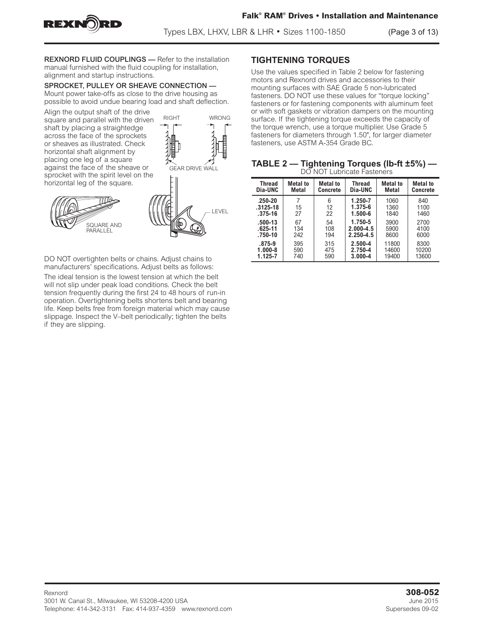

REXNORD FLUID COUPLINGS — Refer to the installation manual furnished with the fluid coupling for installation, alignment and startup instructions.

# SPROCKET, PULLEY OR SHEAVE CONNECTION —

Mount power take-offs as close to the drive housing as possible to avoid undue bearing load and shaft deflection.

Align the output shaft of the drive  $R = \frac{R}{R}$ square and parallel with the driven shaft by placing a straightedge across the face of the sprockets or sheaves as illustrated. Check horizontal shaft alignment by placing one leg of a square against the face of the sheave or sprocket with the spirit level on the horizontal leg of the square.

> SQUARE AND PARALLEL



DO NOT overtighten belts or chains. Adjust chains to manufacturers' specifications. Adjust belts as follows:

The ideal tension is the lowest tension at which the belt will not slip under peak load conditions. Check the belt tension frequently during the first 24 to 48 hours of run-in operation. Overtightening belts shortens belt and bearing life. Keep belts free from foreign material which may cause slippage. Inspect the V–belt periodically; tighten the belts if they are slipping.

# **TIGHTENING TORQUES**

Use the values specified in Table 2 below for fastening motors and Rexnord drives and accessories to their mounting surfaces with SAE Grade 5 non-lubricated fasteners. DO NOT use these values for "torque locking" fasteners or for fastening components with aluminum feet or with soft gaskets or vibration dampers on the mounting surface. If the tightening torque exceeds the capacity of the torque wrench, use a torque multiplier. Use Grade 5 fasteners for diameters through 1.50", for larger diameter fasteners, use ASTM A-354 Grade BC.

|                            | TABLE 2 — Tightening Torques (Ib-ft ±5%) — |
|----------------------------|--------------------------------------------|
| DO NOT Lubricate Fasteners |                                            |

| <b>LICIT TACIT LONGITURING I CONTO INTO</b> |                 |                 |               |                 |                 |  |
|---------------------------------------------|-----------------|-----------------|---------------|-----------------|-----------------|--|
| <b>Thread</b>                               | <b>Metal</b> to | <b>Metal</b> to | <b>Thread</b> | <b>Metal to</b> | <b>Metal</b> to |  |
| Dia-UNC                                     | Metal           | Concrete        | Dia-UNC       | Metal           | <b>Concrete</b> |  |
| $.250 - 20$                                 | 7               | 6               | 1.250-7       | 1060            | 840             |  |
| $.3125 - 18$                                | 15              | 12              | 1.375-6       | 1360            | 1100            |  |
| .375-16                                     | 27              | 22              | $1.500 - 6$   | 1840            | 1460            |  |
| .500-13                                     | 67              | 54              | 1.750-5       | 3900            | 2700            |  |
| $.625 - 11$                                 | 134             | 108             | $2.000 - 4.5$ | 5900            | 4100            |  |
| .750-10                                     | 242             | 194             | $2.250 - 4.5$ | 8600            | 6000            |  |
| $.875 - 9$                                  | 395             | 315             | $2.500 - 4$   | 11800           | 8300            |  |
| $1.000 - 8$                                 | 590             | 475             | 2.750-4       | 14600           | 10200           |  |
| 1.125-7                                     | 740             | 590             | $3.000 - 4$   | 19400           | 13600           |  |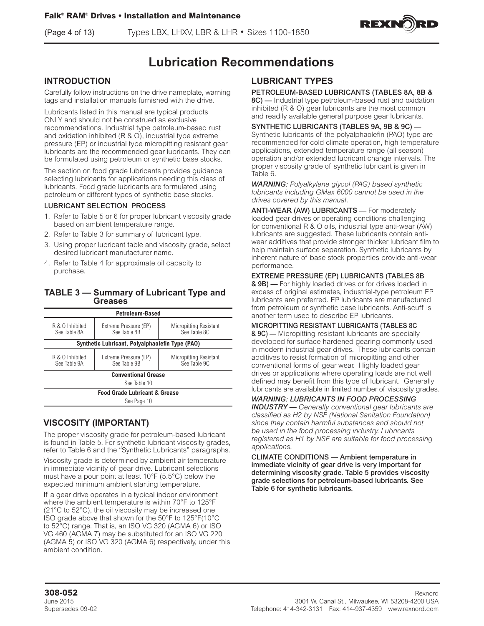(Page 4 of 13) Types LBX, LHXV, LBR & LHR • Sizes 1100-1850



# **Lubrication Recommendations**

# **INTRODUCTION**

Carefully follow instructions on the drive nameplate, warning tags and installation manuals furnished with the drive.

Lubricants listed in this manual are typical products ONLY and should not be construed as exclusive recommendations. Industrial type petroleum-based rust and oxidation inhibited (R & O), industrial type extreme pressure (EP) or industrial type micropitting resistant gear lubricants are the recommended gear lubricants. They can be formulated using petroleum or synthetic base stocks.

The section on food grade lubricants provides guidance selecting lubricants for applications needing this class of lubricants. Food grade lubricants are formulated using petroleum or different types of synthetic base stocks.

#### LUBRICANT SELECTION PROCESS

- 1. Refer to Table 5 or 6 for proper lubricant viscosity grade based on ambient temperature range.
- 2. Refer to Table 3 for summary of lubricant type.
- 3. Using proper lubricant table and viscosity grade, select desired lubricant manufacturer name.
- 4. Refer to Table 4 for approximate oil capacity to purchase.

### **TABLE 3 — Summary of Lubricant Type and Greases**

| <b>Petroleum-Based</b>                   |                                                 |                                               |  |  |  |
|------------------------------------------|-------------------------------------------------|-----------------------------------------------|--|--|--|
| R & O Inhibited<br>See Table 8A          | Extreme Pressure (EP)<br>See Table 8B           | <b>Micropitting Resistant</b><br>See Table 8C |  |  |  |
|                                          | Synthetic Lubricant, Polyalphaolefin Type (PAO) |                                               |  |  |  |
| R & O Inhibited<br>See Table 9A          | Extreme Pressure (EP)<br>See Table 9B           | Micropitting Resistant<br>See Table 9C        |  |  |  |
|                                          | <b>Conventional Grease</b>                      |                                               |  |  |  |
|                                          | See Table 10                                    |                                               |  |  |  |
| <b>Food Grade Lubricant &amp; Grease</b> |                                                 |                                               |  |  |  |
| See Page 10                              |                                                 |                                               |  |  |  |

# **VISCOSITY (IMPORTANT)**

The proper viscosity grade for petroleum-based lubricant is found in Table 5. For synthetic lubricant viscosity grades, refer to Table 6 and the "Synthetic Lubricants" paragraphs.

Viscosity grade is determined by ambient air temperature in immediate vicinity of gear drive. Lubricant selections must have a pour point at least 10°F (5.5°C) below the expected minimum ambient starting temperature.

If a gear drive operates in a typical indoor environment where the ambient temperature is within 70°F to 125°F (21°C to 52°C), the oil viscosity may be increased one ISO grade above that shown for the 50°F to 125°F(10°C to 52°C) range. That is, an ISO VG 320 (AGMA 6) or ISO VG 460 (AGMA 7) may be substituted for an ISO VG 220 (AGMA 5) or ISO VG 320 (AGMA 6) respectively, under this ambient condition.

# **LUBRICANT TYPES**

### PETROLEUM-BASED LUBRICANTS (TABLES 8A, 8B &

8C) — Industrial type petroleum-based rust and oxidation inhibited (R & O) gear lubricants are the most common and readily available general purpose gear lubricants.

SYNTHETIC LUBRICANTS (TABLES 9A, 9B & 9C) — Synthetic lubricants of the polyalphaolefin (PAO) type are recommended for cold climate operation, high temperature applications, extended temperature range (all season) operation and/or extended lubricant change intervals. The proper viscosity grade of synthetic lubricant is given in Table 6.

*WARNING: Polyalkylene glycol (PAG) based synthetic lubricants including GMax 6000 cannot be used in the drives covered by this manual.* 

ANTI-WEAR (AW) LUBRICANTS - For moderately loaded gear drives or operating conditions challenging for conventional R & O oils, industrial type anti-wear (AW) lubricants are suggested. These lubricants contain antiwear additives that provide stronger thicker lubricant film to help maintain surface separation. Synthetic lubricants by inherent nature of base stock properties provide anti-wear performance.

EXTREME PRESSURE (EP) LUBRICANTS (TABLES 8B & 9B) — For highly loaded drives or for drives loaded in excess of original estimates, industrial-type petroleum EP lubricants are preferred. EP lubricants are manufactured from petroleum or synthetic base lubricants. Anti-scuff is another term used to describe EP lubricants.

MICROPITTING RESISTANT LUBRICANTS (TABLES 8C & 9C) — Micropitting resistant lubricants are specially developed for surface hardened gearing commonly used in modern industrial gear drives. These lubricants contain additives to resist formation of micropitting and other conventional forms of gear wear. Highly loaded gear drives or applications where operating loads are not well defined may benefit from this type of lubricant. Generally lubricants are available in limited number of viscosity grades.

### *WARNING: LUBRICANTS IN FOOD PROCESSING*

*INDUSTRY — Generally conventional gear lubricants are classified as H2 by NSF (National Sanitation Foundation) since they contain harmful substances and should not be used in the food processing industry. Lubricants registered as H1 by NSF are suitable for food processing applications.*

CLIMATE CONDITIONS — Ambient temperature in immediate vicinity of gear drive is very important for determining viscosity grade. Table 5 provides viscosity grade selections for petroleum-based lubricants. See Table 6 for synthetic lubricants.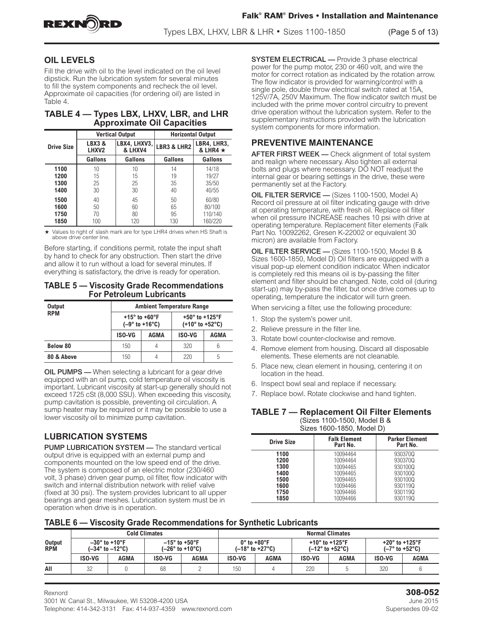

# **OIL LEVELS**

Fill the drive with oil to the level indicated on the oil level dipstick. Run the lubrication system for several minutes to fill the system components and recheck the oil level. Approximate oil capacities (for ordering oil) are listed in Table 4.

| TABLE 4 – Types LBX, LHXV, LBR, and LHR |                                   |  |  |
|-----------------------------------------|-----------------------------------|--|--|
|                                         | <b>Approximate Oil Capacities</b> |  |  |

|                   |                                           | <b>Vertical Output</b> | <b>Horizontal Output</b> |                               |  |
|-------------------|-------------------------------------------|------------------------|--------------------------|-------------------------------|--|
| <b>Drive Size</b> | LBX4, LHXV3,<br>LBX3&<br>& LHXV4<br>LHXV2 |                        | <b>LBR3 &amp; LHR2</b>   | LBR4, LHR3,<br>& LHR4 $\star$ |  |
|                   | Gallons                                   | Gallons                | Gallons                  | <b>Gallons</b>                |  |
| 1100              | 10                                        | 10                     | 14                       | 14/18                         |  |
| 1200              | 15                                        | 15                     | 19                       | 19/27                         |  |
| 1300              | 25                                        | 25                     | 35                       | 35/50                         |  |
| 1400              | 30                                        | 30                     | 40                       | 40/55                         |  |
| 1500              | 40                                        | 45                     | 50                       | 60/80                         |  |
| 1600              | 50                                        | 60                     | 65                       | 80/100                        |  |
| 1750              | 70                                        | 80                     | 95                       | 110/140                       |  |
| 1850              | 100                                       | 120                    | 130                      | 160/220                       |  |

 $\star$  Values to right of slash mark are for type LHR4 drives when HS Shaft is above drive center line.

Before starting, if conditions permit, rotate the input shaft by hand to check for any obstruction. Then start the drive and allow it to run without a load for several minutes. If everything is satisfactory, the drive is ready for operation.

#### **TABLE 5 — Viscosity Grade Recommendations For Petroleum Lubricants**

| Output     | <b>Ambient Temperature Range</b>                      |             |                                                                           |      |  |  |
|------------|-------------------------------------------------------|-------------|---------------------------------------------------------------------------|------|--|--|
| <b>RPM</b> | +15 $^{\circ}$ to +60 $^{\circ}$ F<br>$(-9° to +16°)$ |             | +50 $^{\circ}$ to +125 $^{\circ}$ F<br>$(+10^{\circ}$ to $+52^{\circ}$ C) |      |  |  |
|            | <b>ISO-VG</b>                                         | <b>AGMA</b> | <b>ISO-VG</b>                                                             | AGMA |  |  |
| Below 80   | 150                                                   | 4           | 320                                                                       |      |  |  |
| 80 & Above | 150                                                   |             | 220                                                                       | 5    |  |  |

**OIL PUMPS** — When selecting a lubricant for a gear drive equipped with an oil pump, cold temperature oil viscosity is important. Lubricant viscosity at start-up generally should not exceed 1725 cSt (8,000 SSU). When exceeding this viscosity, pump cavitation is possible, preventing oil circulation. A sump heater may be required or it may be possible to use a lower viscosity oil to minimize pump cavitation.

# **LUBRICATION SYSTEMS**

PUMP LUBRICATION SYSTEM — The standard vertical output drive is equipped with an external pump and components mounted on the low speed end of the drive. The system is composed of an electric motor (230/460 volt, 3 phase) driven gear pump, oil filter, flow indicator with switch and internal distribution network with relief valve (fixed at 30 psi). The system provides lubricant to all upper bearings and gear meshes. Lubrication system must be in operation when drive is in operation.

SYSTEM ELECTRICAL — Provide 3 phase electrical power for the pump motor, 230 or 460 volt, and wire the motor for correct rotation as indicated by the rotation arrow. The flow indicator is provided for warning/control with a single pole, double throw electrical switch rated at 15A, 125V/7A, 250V Maximum. The flow indicator switch must be included with the prime mover control circuitry to prevent drive operation without the lubrication system. Refer to the supplementary instructions provided with the lubrication system components for more information.

# **PREVENTIVE MAINTENANCE**

**AFTER FIRST WEEK — Check alignment of total system** and realign where necessary. Also tighten all external bolts and plugs where necessary. DO NOT readjust the internal gear or bearing settings in the drive, these were permanently set at the Factory.

OIL FILTER SERVICE — (Sizes 1100-1500, Model A) Record oil pressure at oil filter indicating gauge with drive at operating temperature, with fresh oil. Replace oil filter when oil pressure INCREASE reaches 10 psi with drive at operating temperature. Replacement filter elements (Falk Part No. 10092262, Gresen K-22002 or equivalent 30 micron) are available from Factory.

OIL FILTER SERVICE — (Sizes 1100-1500, Model B & Sizes 1600-1850, Model D) Oil filters are equipped with a visual pop-up element condition indicator. When indicator is completely red this means oil is by-passing the filter element and filter should be changed. Note, cold oil (during start-up) may by-pass the filter, but once drive comes up to operating, temperature the indicator will turn green.

When servicing a filter, use the following procedure:

- 1. Stop the system's power unit.
- 2. Relieve pressure in the filter line.
- 3. Rotate bowl counter-clockwise and remove.
- 4. Remove element from housing. Discard all disposable elements. These elements are not cleanable.
- 5. Place new, clean element in housing, centering it on location in the head.
- 6. Inspect bowl seal and replace if necessary.
- 7. Replace bowl. Rotate clockwise and hand tighten.

**TABLE 7 — Replacement Oil Filter Elements**  (Sizes 1100-1500, Model B &  $\sim$  1600-1950, Model D

|                   | OILES TOUU-TOUU, IVIUUEI DT     |                                   |  |  |  |  |
|-------------------|---------------------------------|-----------------------------------|--|--|--|--|
| <b>Drive Size</b> | <b>Falk Element</b><br>Part No. | <b>Parker Element</b><br>Part No. |  |  |  |  |
| 1100              | 10094464                        | 9303700                           |  |  |  |  |
| 1200              | 10094464                        | 930370Q                           |  |  |  |  |
| 1300              | 10094465                        | 930100Q                           |  |  |  |  |
| 1400              | 10094465                        | 930100Q                           |  |  |  |  |
| 1500              | 10094465                        | 930100Q                           |  |  |  |  |
| 1600              | 10094466                        | 9301190                           |  |  |  |  |
| 1750              | 10094466                        | 930119Q                           |  |  |  |  |
| 1850              | 10094466                        | 930119Q                           |  |  |  |  |

### **TABLE 6 — Viscosity Grade Recommendations for Synthetic Lubricants**

|                      |               |                                                        | <b>Cold Climates</b> |                   | <b>Normal Climates</b>      |                                     |                                                                            |      |                                                         |      |
|----------------------|---------------|--------------------------------------------------------|----------------------|-------------------|-----------------------------|-------------------------------------|----------------------------------------------------------------------------|------|---------------------------------------------------------|------|
| Output<br><b>RPM</b> |               | $-30^\circ$ to +10°F<br>$(-34^\circ$ to $-12^\circ$ C) | $-15^\circ$ to +50°F | $(-26° to +10°C)$ | $0^\circ$ to +80 $^\circ$ F | $(-18^{\circ}$ to +27 $^{\circ}$ C) | +10 $^{\circ}$ to +125 $^{\circ}$ F<br>$(-12^{\circ}$ to +52 $^{\circ}$ C) |      | +20 $^{\circ}$ to +125 $^{\circ}$ F<br>$(-7° to +52°C)$ |      |
|                      | <b>ISO-VG</b> | AGMA                                                   | <b>ISO-VG</b>        | AGMA              | <b>ISO-VG</b>               | AGMA                                | <b>ISO-VG</b>                                                              | AGMA | <b>ISO-VG</b>                                           | AGMA |
| All                  | 32            |                                                        | 68                   |                   | 150                         |                                     | 220                                                                        |      | 320                                                     |      |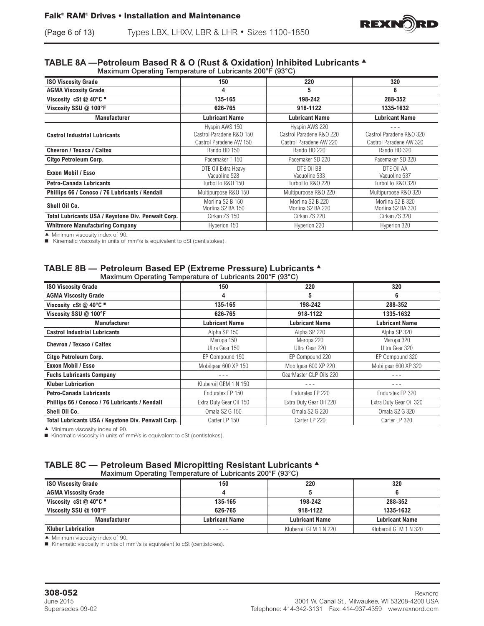# (Page 6 of 13) Types LBX, LHXV, LBR & LHR • Sizes 1100-1850

#### **TABLE 8A —Petroleum Based R & O (Rust & Oxidation) Inhibited Lubricants** <sup>s</sup> Maximum Operating Temperature of Lubricants 200°F (93°C)

|                                                    | 150                      | 220                      | 320                      |
|----------------------------------------------------|--------------------------|--------------------------|--------------------------|
| <b>ISO Viscosity Grade</b>                         |                          |                          |                          |
| <b>AGMA Viscosity Grade</b>                        | 4                        | 5                        | 6                        |
| Viscosity cSt $@$ 40°C $@$                         | 135-165                  | 198-242                  | 288-352                  |
| Viscosity SSU @ 100°F                              | 626-765                  | 918-1122                 | 1335-1632                |
| <b>Manufacturer</b>                                | <b>Lubricant Name</b>    | <b>Lubricant Name</b>    | <b>Lubricant Name</b>    |
|                                                    | Hyspin AWS 150           | Hyspin AWS 220           |                          |
| <b>Castrol Industrial Lubricants</b>               | Castrol Paradene R&O 150 | Castrol Paradene R&O 220 | Castrol Paradene R&O 320 |
|                                                    | Castrol Paradene AW 150  | Castrol Paradene AW 220  | Castrol Paradene AW 320  |
| Chevron / Texaco / Caltex                          | Rando HD 150             | Rando HD 220             | Rando HD 320             |
| Citgo Petroleum Corp.                              | Pacemaker T 150          | Pacemaker SD 220         | Pacemaker SD 320         |
|                                                    | DTE Oil Extra Heavy      | DTE Oil BB               | DTE OII AA               |
| Exxon Mobil / Esso                                 | Vacuoline 528            | Vacuoline 533            | Vacuoline 537            |
| <b>Petro-Canada Lubricants</b>                     | TurboFlo R&O 150         | TurboFlo R&O 220         | TurboFlo R&O 320         |
| Phillips 66 / Conoco / 76 Lubricants / Kendall     | Multipurpose R&O 150     | Multipurpose R&O 220     | Multipurpose R&O 320     |
|                                                    | Morlina S2 B 150         | Morlina S2 B 220         | Morlina S2 B 320         |
| Shell Oil Co.                                      | Morlina S2 BA 150        | Morlina S2 BA 220        | Morlina S2 BA 320        |
| Total Lubricants USA / Keystone Div. Penwalt Corp. | Cirkan ZS 150            | Cirkan ZS 220            | Cirkan ZS 320            |
| <b>Whitmore Manufacturing Company</b>              | Hyperion 150             | Hyperion 220             | Hyperion 320             |

 $\blacktriangle$  Minimum viscosity index of 90.

Kinematic viscosity in units of  $mm^2/s$  is equivalent to cSt (centistokes).

#### **TABLE 8B — Petroleum Based EP (Extreme Pressure) Lubricants** <sup>s</sup> Maximum Operating Temperature of Lubricants 200°F (93°C)

| 150                          | 220                          | 320                          |
|------------------------------|------------------------------|------------------------------|
| 4                            | 5                            | 6                            |
| 135-165                      | 198-242                      | 288-352                      |
| 626-765                      | 918-1122                     | 1335-1632                    |
| Lubricant Name               | <b>Lubricant Name</b>        | Lubricant Name               |
| Alpha SP 150                 | Alpha SP 220                 | Alpha SP 320                 |
| Meropa 150<br>Ultra Gear 150 | Meropa 220<br>Ultra Gear 220 | Meropa 320<br>Ultra Gear 320 |
| EP Compound 150              | EP Compound 220              | EP Compound 320              |
| Mobilgear 600 XP 150         | Mobilgear 600 XP 220         | Mobilgear 600 XP 320         |
|                              | GearMaster CLP Oils 220      |                              |
| Kluberoil GEM 1 N 150        |                              | - - -                        |
| Enduratex EP 150             | Enduratex EP 220             | Enduratex EP 320             |
| Extra Duty Gear Oil 150      | Extra Duty Gear Oil 220      | Extra Duty Gear Oil 320      |
| <b>Omala S2 G 150</b>        | <b>Omala S2 G 220</b>        | <b>Omala S2 G 320</b>        |
| Carter EP 150                | Carter EP 220                | Carter EP 320                |
|                              |                              |                              |

 $\blacktriangle$  Minimum viscosity index of 90.

■ Kinematic viscosity in units of mm<sup>2</sup>/s is equivalent to cSt (centistokes).

### **TABLE 8C — Petroleum Based Micropitting Resistant Lubricants** <sup>s</sup> Maximum Operating Temperature of Lubricants 200°F (93°C)

| ້                           |                       |                       |                       |
|-----------------------------|-----------------------|-----------------------|-----------------------|
| <b>ISO Viscosity Grade</b>  | 150                   | 220                   | 320                   |
| <b>AGMA Viscosity Grade</b> |                       |                       |                       |
| Viscosity cSt $@$ 40 $°C$   | 135-165               | 198-242               | 288-352               |
| Viscosity SSU @ 100°F       | 626-765               | 918-1122              | 1335-1632             |
| <b>Manufacturer</b>         | <b>Lubricant Name</b> | <b>Lubricant Name</b> | <b>Lubricant Name</b> |
| <b>Kluber Lubrication</b>   | $- - -$               | Kluberoil GEM 1 N 220 | Kluberoil GEM 1 N 320 |

 $\blacktriangle$  Minimum viscosity index of 90.

 $\blacksquare$  Kinematic viscosity in units of mm<sup>2</sup>/s is equivalent to cSt (centistokes).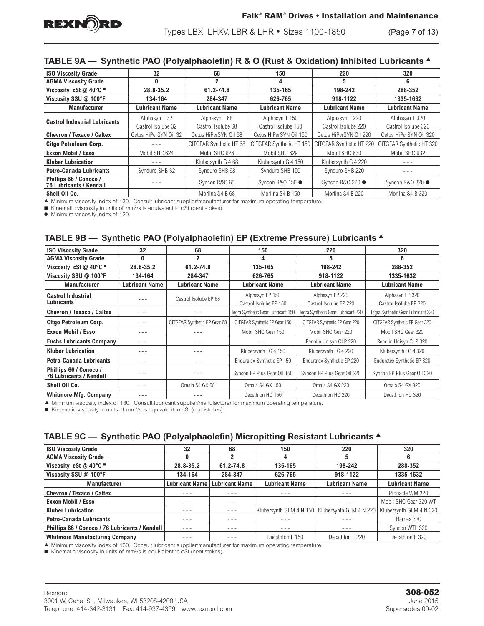

Types LBX, LHXV, LBR & LHR • Sizes 1100-1850 (Page 7 of 13)

# **TABLE 9A — Synthetic PAO (Polyalphaolefin) R & O (Rust & Oxidation) Inhibited Lubricants** <sup>s</sup>

| <b>ISO Viscosity Grade</b>                               | 32                    | 68                      | 150                      | 220                      | 320                      |
|----------------------------------------------------------|-----------------------|-------------------------|--------------------------|--------------------------|--------------------------|
| <b>AGMA Viscosity Grade</b>                              | 0                     | 2                       | 4                        | 5                        | 6                        |
| Viscosity cSt $@$ 40°C $@$                               | 28.8-35.2             | 61.2-74.8               | 135-165                  | 198-242                  | 288-352                  |
| Viscosity SSU @ 100°F                                    | 134-164               | 284-347                 | 626-765                  | 918-1122                 | 1335-1632                |
| <b>Manufacturer</b>                                      | Lubricant Name        | <b>Lubricant Name</b>   | <b>Lubricant Name</b>    | <b>Lubricant Name</b>    | <b>Lubricant Name</b>    |
| <b>Castrol Industrial Lubricants</b>                     | Alphasyn T 32         | Alphasyn T 68           | Alphasyn T 150           | Alphasyn T 220           | Alphasyn T 320           |
|                                                          | Castrol Isolube 32    | Castrol Isolube 68      | Castrol Isolube 150      | Castrol Isolube 220      | Castrol Isolube 320      |
| Chevron / Texaco / Caltex                                | Cetus HiPerSYN Oil 32 | Cetus HiPerSYN Oil 68   | Cetus HiPerSYN Oil 150   | Cetus HiPerSYN Oil 220   | Cetus HiPerSYN Oil 320   |
| Citgo Petroleum Corp.                                    |                       | CITGEAR Synthetic HT 68 | CITGEAR Synthetic HT 150 | CITGEAR Synthetic HT 220 | CITGEAR Synthetic HT 320 |
| <b>Exxon Mobil / Esso</b>                                | Mobil SHC 624         | Mobil SHC 626           | Mobil SHC 629            | Mobil SHC 630            | Mobil SHC 632            |
| <b>Kluber Lubrication</b>                                |                       | Klubersynth G 4 68      | Klubersynth G 4 150      | Klubersynth G 4 220      |                          |
| <b>Petro-Canada Lubricants</b>                           | Synduro SHB 32        | Synduro SHB 68          | Synduro SHB 150          | Synduro SHB 220          | $- - -$                  |
| Phillips 66 / Conoco /<br><b>76 Lubricants / Kendall</b> |                       | Syncon R&O 68           | Syncon R&O 150 ●         | Syncon R&O 220 ●         | Syncon R&O 320 ●         |
| Shell Oil Co.                                            |                       | Morlina S4 B 68         | Morlina S4 B 150         | Morlina S4 B 220         | Morlina S4 B 320         |

c Minimum viscosity index of 130. Consult lubricant supplier/manufacturer for maximum operating temperature.

 $\blacksquare$  Kinematic viscosity in units of mm<sup>2</sup>/s is equivalent to cSt (centistokes).

 $\bullet$  Minimum viscosity index of 120.

# **TABLE 9B — Synthetic PAO (Polyalphaolefin) EP (Extreme Pressure) Lubricants** <sup>s</sup>

| <b>ISO Viscosity Grade</b>                               | 32                    | 68                           | 150                                       | 220                                       | 320                                       |
|----------------------------------------------------------|-----------------------|------------------------------|-------------------------------------------|-------------------------------------------|-------------------------------------------|
| <b>AGMA Viscosity Grade</b>                              | 0                     | $\overline{2}$               | 4                                         | 5                                         | 6                                         |
| Viscosity cSt @ 40°C $\blacksquare$                      | 28.8-35.2             | 61.2-74.8                    | 135-165                                   | 198-242                                   | 288-352                                   |
| Viscosity SSU @ 100°F                                    | 134-164               | 284-347                      | 626-765                                   | 918-1122                                  | 1335-1632                                 |
| <b>Manufacturer</b>                                      | <b>Lubricant Name</b> | <b>Lubricant Name</b>        | <b>Lubricant Name</b>                     | <b>Lubricant Name</b>                     | <b>Lubricant Name</b>                     |
| <b>Castrol Industrial</b><br><b>Lubricants</b>           |                       | Castrol Isolube EP 68        | Alphasyn EP 150<br>Castrol Isolube EP 150 | Alphasyn EP 220<br>Castrol Isolube EP 220 | Alphasyn EP 320<br>Castrol Isolube EP 320 |
| Chevron / Texaco / Caltex                                | - - -                 | - - -                        | Tegra Synthetic Gear Lubricant 150        | Tegra Synthetic Gear Lubricant 220        | Tegra Synthetic Gear Lubricant 320        |
| Citgo Petroleum Corp.                                    | - - -                 | CITGEAR Synthetic EP Gear 68 | CITGEAR Synthetic EP Gear 150             | CITGEAR Synthetic EP Gear 220             | CITGEAR Synthetic EP Gear 320             |
| <b>Exxon Mobil / Esso</b>                                | - - -                 |                              | Mobil SHC Gear 150                        | Mobil SHC Gear 220                        | Mobil SHC Gear 320                        |
| <b>Fuchs Lubricants Company</b>                          | - - -                 | $- - -$                      | - - -                                     | Renolin Unisyn CLP 220                    | Renolin Unisyn CLP 320                    |
| <b>Kluber Lubrication</b>                                | - - -                 | $- - -$                      | Klubersynth EG 4 150                      | Klubersynth EG 4 220                      | Klubersynth EG 4 320                      |
| <b>Petro-Canada Lubricants</b>                           | - - -                 | $- - -$                      | Enduratex Synthetic EP 150                | Enduratex Synthetic EP 220                | Enduratex Synthetic EP 320                |
| Phillips 66 / Conoco /<br><b>76 Lubricants / Kendall</b> |                       |                              | Syncon EP Plus Gear Oil 150               | Syncon EP Plus Gear Oil 220               | Syncon EP Plus Gear Oil 320               |
| Shell Oil Co.                                            | - - -                 | Omala S4 GX 68               | Omala S4 GX 150                           | Omala S4 GX 220                           | Omala S4 GX 320                           |
| <b>Whitmore Mfg. Company</b>                             | - - -                 | $- - -$                      | Decathlon HD 150                          | Decathlon HD 220                          | Decathlon HD 320                          |

c Minimum viscosity index of 130. Consult lubricant supplier/manufacturer for maximum operating temperature.

 $\blacksquare$  Kinematic viscosity in units of mm<sup>2</sup>/s is equivalent to cSt (centistokes).

### **TABLE 9C — Synthetic PAO (Polyalphaolefin) Micropitting Resistant Lubricants** <sup>s</sup>

| <b>ISO Viscosity Grade</b>                     | 32                    | 68                    | 150                   | 220                   | 320                                                                         |
|------------------------------------------------|-----------------------|-----------------------|-----------------------|-----------------------|-----------------------------------------------------------------------------|
| <b>AGMA Viscosity Grade</b>                    | 0                     |                       | 4                     |                       | 6                                                                           |
| Viscosity cSt @ 40°C "                         | 28.8-35.2             | $61.2 - 74.8$         | 135-165               | 198-242               | 288-352                                                                     |
| Viscosity SSU @ 100°F                          | 134-164               | 284-347               | 626-765               | 918-1122              | 1335-1632                                                                   |
| <b>Manufacturer</b>                            | <b>Lubricant Name</b> | <b>Lubricant Name</b> | <b>Lubricant Name</b> | <b>Lubricant Name</b> | <b>Lubricant Name</b>                                                       |
| <b>Chevron / Texaco / Caltex</b>               |                       |                       | - - -                 | - - -                 | Pinnacle WM 320                                                             |
| <b>Exxon Mobil / Esso</b>                      | - - -                 | - - -                 | - - -                 | - - -                 | Mobil SHC Gear 320 WT                                                       |
| <b>Kluber Lubrication</b>                      | $- - -$               | $- - -$               |                       |                       | Klubersvnth GEM 4 N 150   Klubersvnth GEM 4 N 220   Klubersvnth GEM 4 N 320 |
| <b>Petro-Canada Lubricants</b>                 | ---                   | $- - -$               | ---                   | ---                   | Harnex 320                                                                  |
| Phillips 66 / Conoco / 76 Lubricants / Kendall | $- - -$               | - - -                 | $- - -$               | $- - -$               | Syncon WTL 320                                                              |
| <b>Whitmore Manufacturing Company</b>          |                       |                       | Decathlon F 150       | Decathlon F 220       | Decathlon F 320                                                             |

c Minimum viscosity index of 130. Consult lubricant supplier/manufacturer for maximum operating temperature.

 $\blacksquare$  Kinematic viscosity in units of mm<sup>2</sup>/s is equivalent to cSt (centistokes).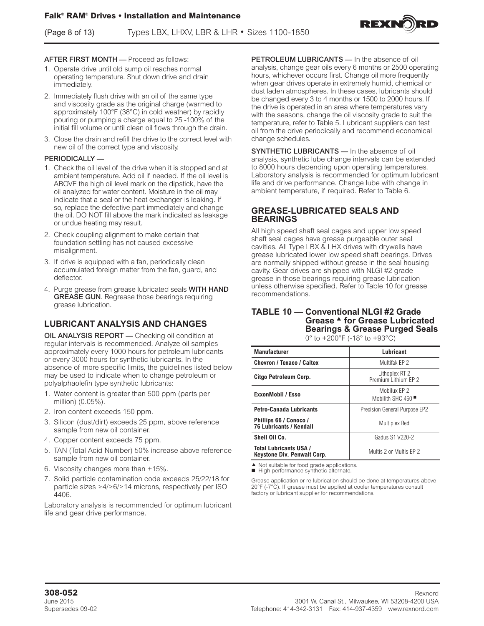(Page 8 of 13) Types LBX, LHXV, LBR & LHR • Sizes 1100-1850



#### AFTER FIRST MONTH — Proceed as follows:

- 1. Operate drive until old sump oil reaches normal operating temperature. Shut down drive and drain immediately.
- 2. Immediately flush drive with an oil of the same type and viscosity grade as the original charge (warmed to approximately 100°F (38°C) in cold weather) by rapidly pouring or pumping a charge equal to 25 -100% of the initial fill volume or until clean oil flows through the drain.
- 3. Close the drain and refill the drive to the correct level with new oil of the correct type and viscosity.

#### PERIODICALLY —

- 1. Check the oil level of the drive when it is stopped and at ambient temperature. Add oil if needed. If the oil level is ABOVE the high oil level mark on the dipstick, have the oil analyzed for water content. Moisture in the oil may indicate that a seal or the heat exchanger is leaking. If so, replace the defective part immediately and change the oil. DO NOT fill above the mark indicated as leakage or undue heating may result.
- 2. Check coupling alignment to make certain that foundation settling has not caused excessive misalignment.
- 3. If drive is equipped with a fan, periodically clean accumulated foreign matter from the fan, guard, and deflector.
- 4. Purge grease from grease lubricated seals WITH HAND GREASE GUN. Regrease those bearings requiring grease lubrication.

# **LUBRICANT ANALYSIS AND CHANGES**

OIL ANALYSIS REPORT — Checking oil condition at regular intervals is recommended. Analyze oil samples approximately every 1000 hours for petroleum lubricants or every 3000 hours for synthetic lubricants. In the absence of more specific limits, the guidelines listed below may be used to indicate when to change petroleum or polyalphaolefin type synthetic lubricants:

- 1. Water content is greater than 500 ppm (parts per million) (0.05%).
- 2. Iron content exceeds 150 ppm.
- 3. Silicon (dust/dirt) exceeds 25 ppm, above reference sample from new oil container.
- 4. Copper content exceeds 75 ppm.
- 5. TAN (Total Acid Number) 50% increase above reference sample from new oil container.
- 6. Viscosity changes more than  $\pm 15\%$ .
- 7. Solid particle contamination code exceeds 25/22/18 for particle sizes ≥4/≥6/≥14 microns, respectively per ISO 4406.

Laboratory analysis is recommended for optimum lubricant life and gear drive performance.

PETROLEUM LUBRICANTS - In the absence of oil analysis, change gear oils every 6 months or 2500 operating hours, whichever occurs first. Change oil more frequently when gear drives operate in extremely humid, chemical or dust laden atmospheres. In these cases, lubricants should be changed every 3 to 4 months or 1500 to 2000 hours. If the drive is operated in an area where temperatures vary with the seasons, change the oil viscosity grade to suit the temperature, refer to Table 5. Lubricant suppliers can test oil from the drive periodically and recommend economical change schedules.

SYNTHETIC LUBRICANTS - In the absence of oil analysis, synthetic lube change intervals can be extended to 8000 hours depending upon operating temperatures. Laboratory analysis is recommended for optimum lubricant life and drive performance. Change lube with change in ambient temperature, if required. Refer to Table 6.

### **GREASE-LUBRICATED SEALS AND BEARINGS**

All high speed shaft seal cages and upper low speed shaft seal cages have grease purgeable outer seal cavities. All Type LBX & LHX drives with drywells have grease lubricated lower low speed shaft bearings. Drives are normally shipped without grease in the seal housing cavity. Gear drives are shipped with NLGI #2 grade grease in those bearings requiring grease lubrication unless otherwise specified. Refer to Table 10 for grease recommendations.

#### **TABLE 10 — Conventional NLGI #2 Grade Grease ▲ for Grease Lubricated Bearings & Grease Purged Seals** 0° to +200°F (-18° to +93°C)

| <b>Manufacturer</b>                                          | Lubricant                                                               |
|--------------------------------------------------------------|-------------------------------------------------------------------------|
| Chevron / Texaco / Caltex                                    | Multifak EP 2                                                           |
| Citgo Petroleum Corp.                                        | Lithoplex RT 2<br>Premium I ithium FP 2                                 |
| <b>ExxonMobil / Esso</b>                                     | Mobilux FP 2<br>Mobilith SHC $460$ <sup><math>\blacksquare</math></sup> |
| <b>Petro-Canada Lubricants</b>                               | Precision General Purpose EP2                                           |
| Phillips 66 / Conoco /<br><b>76 Lubricants / Kendall</b>     | Multiplex Red                                                           |
| Shell Oil Co.                                                | <b>Gadus S1 V220-2</b>                                                  |
| <b>Total Lubricants USA /</b><br>Keystone Div. Penwalt Corp. | Multis 2 or Multis EP 2                                                 |

 $\blacktriangle$  Not suitable for food grade applications.

High performance synthetic alternate.

Grease application or re-lubrication should be done at temperatures above 20°F (-7°C). If grease must be applied at cooler temperatures consult factory or lubricant supplier for recommendations.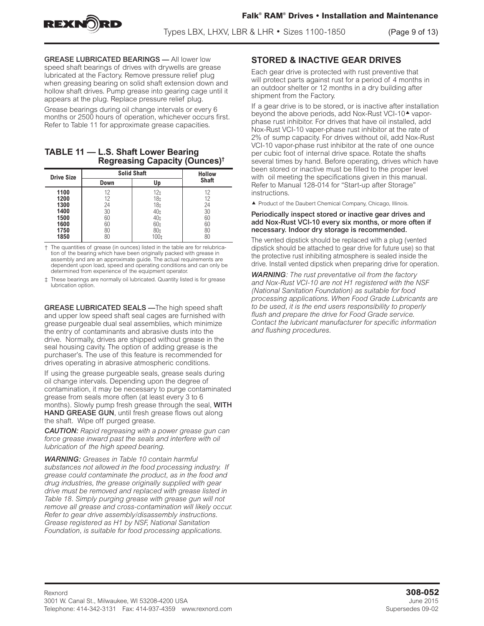



Types LBX, LHXV, LBR & LHR • Sizes 1100-1850 (Page 9 of 13)

GREASE LUBRICATED BEARINGS — All lower low speed shaft bearings of drives with drywells are grease lubricated at the Factory. Remove pressure relief plug when greasing bearing on solid shaft extension down and hollow shaft drives. Pump grease into gearing cage until it appears at the plug. Replace pressure relief plug.

Grease bearings during oil change intervals or every 6 months or 2500 hours of operation, whichever occurs first. Refer to Table 11 for approximate grease capacities.

### **TABLE 11 — L.S. Shaft Lower Bearing Regreasing Capacity (Ounces)†**

| <b>Drive Size</b> | <b>Solid Shaft</b> | <b>Hollow</b>   |              |
|-------------------|--------------------|-----------------|--------------|
|                   | Down               | Up              | <b>Shaft</b> |
| 1100              | 12                 | 12 <sub>t</sub> | 12           |
| 1200              | 12                 | 18‡             | 12           |
| 1300              | 24                 | 18‡             | 24           |
| 1400              | 30                 | 40 <sub>‡</sub> | 30           |
| 1500              | 60                 | 40‡             | 60           |
| 1600              | 60                 | 60 <sub>‡</sub> | 60           |
| 1750              | 80                 | 80±             | 80           |
| 1850              | 80                 | 100±            | 80           |

The quantities of grease (in ounces) listed in the table are for relubrication of the bearing which have been originally packed with grease in assembly and are an approximate quide. The actual requirements are dependent upon load, speed and operating conditions and can only be determined from experience of the equipment operator.

‡ These bearings are normally oil lubricated. Quantity listed is for grease lubrication option.

GREASE LUBRICATED SEALS —The high speed shaft and upper low speed shaft seal cages are furnished with grease purgeable dual seal assemblies, which minimize the entry of contaminants and abrasive dusts into the drive. Normally, drives are shipped without grease in the seal housing cavity. The option of adding grease is the purchaser's. The use of this feature is recommended for drives operating in abrasive atmospheric conditions.

If using the grease purgeable seals, grease seals during oil change intervals. Depending upon the degree of contamination, it may be necessary to purge contaminated grease from seals more often (at least every 3 to 6 months). Slowly pump fresh grease through the seal, WITH HAND GREASE GUN, until fresh grease flows out along the shaft. Wipe off purged grease.

*CAUTION: Rapid regreasing with a power grease gun can force grease inward past the seals and interfere with oil lubrication of the high speed bearing.*

*WARNING: Greases in Table 10 contain harmful substances not allowed in the food processing industry. If grease could contaminate the product, as in the food and drug industries, the grease originally supplied with gear drive must be removed and replaced with grease listed in Table 18. Simply purging grease with grease gun will not remove all grease and cross-contamination will likely occur. Refer to gear drive assembly/disassembly instructions. Grease registered as H1 by NSF, National Sanitation Foundation, is suitable for food processing applications.*

# **STORED & INACTIVE GEAR DRIVES**

Each gear drive is protected with rust preventive that will protect parts against rust for a period of 4 months in an outdoor shelter or 12 months in a dry building after shipment from the Factory.

If a gear drive is to be stored, or is inactive after installation beyond the above periods, add Nox-Rust VCI-10<sup>4</sup> vaporphase rust inhibitor. For drives that have oil installed, add Nox-Rust VCI-10 vaper-phase rust inhibitor at the rate of 2% of sump capacity. For drives without oil, add Nox-Rust VCI-10 vapor-phase rust inhibitor at the rate of one ounce per cubic foot of internal drive space. Rotate the shafts several times by hand. Before operating, drives which have been stored or inactive must be filled to the proper level with oil meeting the specifications given in this manual. Refer to Manual 128-014 for "Start-up after Storage" instructions.

 $\blacktriangle$  Product of the Daubert Chemical Company, Chicago, Illinois.

#### Periodically inspect stored or inactive gear drives and add Nox-Rust VCI-10 every six months, or more often if necessary. Indoor dry storage is recommended.

The vented dipstick should be replaced with a plug (vented dipstick should be attached to gear drive for future use) so that the protective rust inhibiting atmosphere is sealed inside the drive. Install vented dipstick when preparing drive for operation.

*WARNING: The rust preventative oil from the factory and Nox-Rust VCI-10 are not H1 registered with the NSF (National Sanitation Foundation) as suitable for food processing applications. When Food Grade Lubricants are to be used, it is the end users responsibility to properly flush and prepare the drive for Food Grade service. Contact the lubricant manufacturer for specific information and flushing procedures.*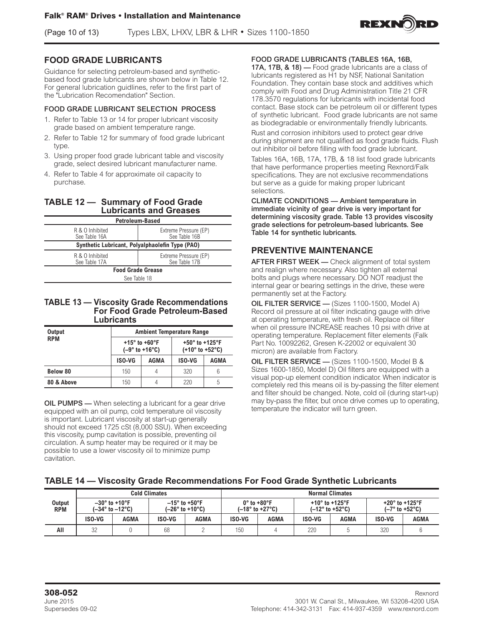(Page 10 of 13) Types LBX, LHXV, LBR & LHR • Sizes 1100-1850



# **FOOD GRADE LUBRICANTS**

Guidance for selecting petroleum-based and syntheticbased food grade lubricants are shown below in Table 12. For general lubrication guidlines, refer to the first part of the "Lubrication Recomendation" Section.

#### FOOD GRADE LUBRICANT SELECTION PROCESS

- 1. Refer to Table 13 or 14 for proper lubricant viscosity grade based on ambient temperature range.
- 2. Refer to Table 12 for summary of food grade lubricant type.
- 3. Using proper food grade lubricant table and viscosity grade, select desired lubricant manufacturer name.
- 4. Refer to Table 4 for approximate oil capacity to purchase.

### **TABLE 12 — Summary of Food Grade Lubricants and Greases**

|                                                                            | <b>Petroleum-Based</b>                 |  |  |  |
|----------------------------------------------------------------------------|----------------------------------------|--|--|--|
| R & O Inhibited<br>See Table 16A                                           | Extreme Pressure (EP)<br>See Table 16B |  |  |  |
| Synthetic Lubricant, Polyalphaolefin Type (PAO)                            |                                        |  |  |  |
| Extreme Pressure (EP)<br>R & O Inhibited<br>See Table 17B<br>See Table 17A |                                        |  |  |  |
|                                                                            | <b>Food Grade Grease</b>               |  |  |  |
|                                                                            | See Table 18                           |  |  |  |
|                                                                            |                                        |  |  |  |

#### **TABLE 13 — Viscosity Grade Recommendations For Food Grade Petroleum-Based Lubricants**

| <b>Output</b> | <b>Ambient Temperature Range</b> |                                                        |                                                                           |      |  |  |
|---------------|----------------------------------|--------------------------------------------------------|---------------------------------------------------------------------------|------|--|--|
| <b>RPM</b>    |                                  | +15 $^{\circ}$ to +60 $^{\circ}$ F<br>$(-9° to +16°C)$ | +50 $^{\circ}$ to +125 $^{\circ}$ F<br>$(+10^{\circ}$ to $+52^{\circ}$ C) |      |  |  |
|               | <b>ISO-VG</b>                    | <b>AGMA</b>                                            | <b>ISO-VG</b>                                                             | AGMA |  |  |
| Below 80      | 150                              | 4                                                      | 320                                                                       |      |  |  |
| 80 & Above    | 150                              |                                                        | 220                                                                       | h    |  |  |

OIL PUMPS — When selecting a lubricant for a gear drive equipped with an oil pump, cold temperature oil viscosity is important. Lubricant viscosity at start-up generally should not exceed 1725 cSt (8,000 SSU). When exceeding this viscosity, pump cavitation is possible, preventing oil circulation. A sump heater may be required or it may be possible to use a lower viscosity oil to minimize pump cavitation.

FOOD GRADE LUBRICANTS (TABLES 16A, 16B,

17A, 17B, & 18) — Food grade lubricants are a class of lubricants registered as H1 by NSF, National Sanitation Foundation. They contain base stock and additives which comply with Food and Drug Administration Title 21 CFR 178.3570 regulations for lubricants with incidental food contact. Base stock can be petroleum oil or different types of synthetic lubricant. Food grade lubricants are not same as biodegradable or environmentally friendly lubricants.

Rust and corrosion inhibitors used to protect gear drive during shipment are not qualified as food grade fluids. Flush out inhibitor oil before filling with food grade lubricant.

Tables 16A, 16B, 17A, 17B, & 18 list food grade lubricants that have performance properties meeting Rexnord/Falk specifications. They are not exclusive recommendations but serve as a guide for making proper lubricant selections.

CLIMATE CONDITIONS — Ambient temperature in immediate vicinity of gear drive is very important for determining viscosity grade. Table 13 provides viscosity grade selections for petroleum-based lubricants. See Table 14 for synthetic lubricants.

### **PREVENTIVE MAINTENANCE**

AFTER FIRST WEEK - Check alignment of total system and realign where necessary. Also tighten all external bolts and plugs where necessary. DO NOT readjust the internal gear or bearing settings in the drive, these were permanently set at the Factory.

OIL FILTER SERVICE - (Sizes 1100-1500, Model A) Record oil pressure at oil filter indicating gauge with drive at operating temperature, with fresh oil. Replace oil filter when oil pressure INCREASE reaches 10 psi with drive at operating temperature. Replacement filter elements (Falk Part No. 10092262, Gresen K-22002 or equivalent 30 micron) are available from Factory.

OIL FILTER SERVICE — (Sizes 1100-1500, Model B & Sizes 1600-1850, Model D) Oil filters are equipped with a visual pop-up element condition indicator. When indicator is completely red this means oil is by-passing the filter element and filter should be changed. Note, cold oil (during start-up) may by-pass the filter, but once drive comes up to operating, temperature the indicator will turn green.

### **TABLE 14 — Viscosity Grade Recommendations For Food Grade Synthetic Lubricants**

|                             | <b>Cold Climates</b> |                                                        |                      | <b>Normal Climates</b> |                             |                                     |                                     |                 |                                     |                                |
|-----------------------------|----------------------|--------------------------------------------------------|----------------------|------------------------|-----------------------------|-------------------------------------|-------------------------------------|-----------------|-------------------------------------|--------------------------------|
| <b>Output</b><br><b>RPM</b> |                      | $-30^\circ$ to +10°F<br>$(-34^\circ$ to $-12^\circ$ C) | $-15^\circ$ to +50°F | $(-26° to +10°C)$      | $0^\circ$ to +80 $^\circ$ F | $(-18^{\circ}$ to +27 $^{\circ}$ C) | +10 $^{\circ}$ to +125 $^{\circ}$ F | (–12° to +52°C) | +20 $^{\circ}$ to +125 $^{\circ}$ F | $(-7^\circ$ to +52 $^\circ$ C) |
|                             | ISO-VG               | <b>AGMA</b>                                            | ISO-VG               | AGMA                   | <b>ISO-VG</b>               | AGMA                                | <b>ISO-VG</b>                       | AGMA            | <b>ISO-VG</b>                       | <b>AGMA</b>                    |
| All                         | 32                   |                                                        | 68                   |                        | 150                         |                                     | 220                                 |                 | 320                                 |                                |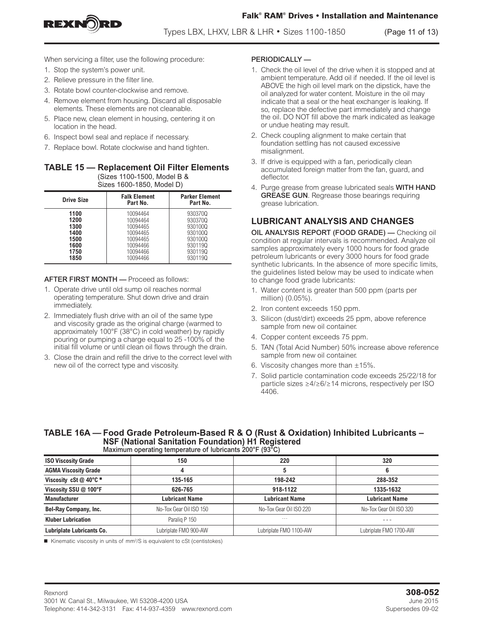

Types LBX, LHXV, LBR & LHR • Sizes 1100-1850 (Page 11 of 13)

When servicing a filter, use the following procedure:

- 1. Stop the system's power unit.
- 2. Relieve pressure in the filter line.
- 3. Rotate bowl counter-clockwise and remove.
- 4. Remove element from housing. Discard all disposable elements. These elements are not cleanable.
- 5. Place new, clean element in housing, centering it on location in the head.
- 6. Inspect bowl seal and replace if necessary.
- 7. Replace bowl. Rotate clockwise and hand tighten.

#### **TABLE 15 — Replacement Oil Filter Elements**  (Sizes 1100-1500, Model B & Sizes 1600-1850, Model D)

| <b>Drive Size</b>                                            | <b>Falk Element</b><br>Part No.                                                              | <b>Parker Element</b><br>Part No.                                                    |  |  |  |  |
|--------------------------------------------------------------|----------------------------------------------------------------------------------------------|--------------------------------------------------------------------------------------|--|--|--|--|
| 1100<br>1200<br>1300<br>1400<br>1500<br>1600<br>1750<br>1850 | 10094464<br>10094464<br>10094465<br>10094465<br>10094465<br>10094466<br>10094466<br>10094466 | 9303700<br>9303700<br>930100Q<br>9301000<br>9301000<br>930119Q<br>930119Q<br>930119Q |  |  |  |  |

#### AFTER FIRST MONTH — Proceed as follows:

- 1. Operate drive until old sump oil reaches normal operating temperature. Shut down drive and drain immediately.
- 2. Immediately flush drive with an oil of the same type and viscosity grade as the original charge (warmed to approximately 100°F (38°C) in cold weather) by rapidly pouring or pumping a charge equal to 25 -100% of the initial fill volume or until clean oil flows through the drain.
- 3. Close the drain and refill the drive to the correct level with new oil of the correct type and viscosity.

#### PERIODICALLY —

- 1. Check the oil level of the drive when it is stopped and at ambient temperature. Add oil if needed. If the oil level is ABOVE the high oil level mark on the dipstick, have the oil analyzed for water content. Moisture in the oil may indicate that a seal or the heat exchanger is leaking. If so, replace the defective part immediately and change the oil. DO NOT fill above the mark indicated as leakage or undue heating may result.
- 2. Check coupling alignment to make certain that foundation settling has not caused excessive misalignment.
- 3. If drive is equipped with a fan, periodically clean accumulated foreign matter from the fan, guard, and deflector.
- 4. Purge grease from grease lubricated seals WITH HAND **GREASE GUN**. Regrease those bearings requiring grease lubrication.

# **LUBRICANT ANALYSIS AND CHANGES**

OIL ANALYSIS REPORT (FOOD GRADE) — Checking oil condition at regular intervals is recommended. Analyze oil samples approximately every 1000 hours for food grade petroleum lubricants or every 3000 hours for food grade synthetic lubricants. In the absence of more specific limits, the guidelines listed below may be used to indicate when to change food grade lubricants:

- 1. Water content is greater than 500 ppm (parts per million) (0.05%).
- 2. Iron content exceeds 150 ppm.
- 3. Silicon (dust/dirt) exceeds 25 ppm, above reference sample from new oil container.
- 4. Copper content exceeds 75 ppm.
- 5. TAN (Total Acid Number) 50% increase above reference sample from new oil container.
- 6. Viscosity changes more than  $\pm 15\%$ .
- 7. Solid particle contamination code exceeds 25/22/18 for particle sizes ≥4/≥6/≥14 microns, respectively per ISO 4406.

#### **TABLE 16A — Food Grade Petroleum-Based R & O (Rust & Oxidation) Inhibited Lubricants – NSF (National Sanitation Foundation) H1 Registered** Maximum operating temperature of lubricants 200°F (93°C)

| <b>ISO Viscosity Grade</b>  | 150                     | 220                     | 320                     |
|-----------------------------|-------------------------|-------------------------|-------------------------|
| <b>AGMA Viscosity Grade</b> |                         |                         |                         |
| Viscosity cSt $@$ 40°C $@$  | 135-165                 | 198-242                 | 288-352                 |
| Viscosity SSU @ 100°F       | 626-765                 | 918-1122                | 1335-1632               |
| <b>Manufacturer</b>         | Lubricant Name          | <b>Lubricant Name</b>   | <b>Lubricant Name</b>   |
| Bel-Ray Company, Inc.       | No-Tox Gear Oil ISO 150 | No-Tox Gear Oil ISO 220 | No-Tox Gear Oil ISO 320 |
| <b>Kluber Lubrication</b>   | Paralig P 150           | $- - -$                 | $- - -$                 |
| Lubriplate Lubricants Co.   | Lubriplate FMO 900-AW   | Lubriplate FMO 1100-AW  | Lubriplate FMO 1700-AW  |

■ Kinematic viscosity in units of mm<sup>2</sup>/S is equivalent to cSt (centistokes)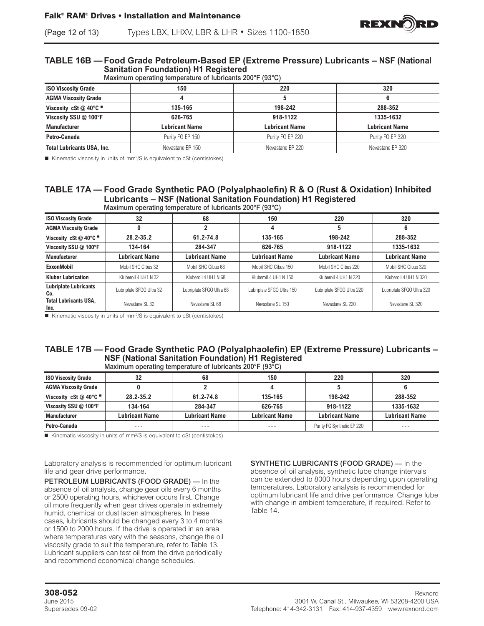# (Page 12 of 13) Types LBX, LHXV, LBR & LHR • Sizes 1100-1850

# **TABLE 16B — Food Grade Petroleum-Based EP (Extreme Pressure) Lubricants – NSF (National Sanitation Foundation) H1 Registered**<br>Maximum operating temperature of lubricants 20

| Maximum operating temperature of lubricants 200°F (93°C) |  |
|----------------------------------------------------------|--|

| $\frac{1}{2}$ . The state of the state of the state of the state of the state of $\frac{1}{2}$ |                  |                       |                       |  |  |
|------------------------------------------------------------------------------------------------|------------------|-----------------------|-----------------------|--|--|
| <b>ISO Viscosity Grade</b>                                                                     | 150              | 220                   | 320                   |  |  |
| <b>AGMA Viscosity Grade</b>                                                                    |                  |                       |                       |  |  |
| Viscosity cSt $@$ 40°C $@$                                                                     | 135-165          | 198-242               | 288-352               |  |  |
| Viscosity SSU @ 100°F                                                                          | 626-765          | 918-1122              | 1335-1632             |  |  |
| <b>Manufacturer</b>                                                                            | Lubricant Name   | <b>Lubricant Name</b> | <b>Lubricant Name</b> |  |  |
| Petro-Canada                                                                                   | Purity FG EP 150 | Purity FG EP 220      | Purity FG EP 320      |  |  |
| <b>Total Lubricants USA, Inc.</b>                                                              | Nevastane EP 150 | Nevastane EP 220      | Nevastane EP 320      |  |  |

■ Kinematic viscosity in units of mm<sup>2</sup>/S is equivalent to cSt (centistokes)

#### **TABLE 17A — Food Grade Synthetic PAO (Polyalphaolefin) R & O (Rust & Oxidation) Inhibited Lubricants – NSF (National Sanitation Foundation) H1 Registered** Maximum operating temperature of lubricants 200°F (93°C)

| <b>ISO Viscosity Grade</b>           | 32                       | 68                       | 150                       | 220                       | 320                       |
|--------------------------------------|--------------------------|--------------------------|---------------------------|---------------------------|---------------------------|
| <b>AGMA Viscosity Grade</b>          |                          |                          |                           | 5                         | 6                         |
| Viscosity cSt @ 40°C $\blacksquare$  | 28.2-35.2                | 61.2-74.8                | 135-165                   | 198-242                   | 288-352                   |
| Viscosity SSU @ 100°F                | 134-164                  | 284-347                  | 626-765                   | 918-1122                  | 1335-1632                 |
| <b>Manufacturer</b>                  | <b>Lubricant Name</b>    | <b>Lubricant Name</b>    | <b>Lubricant Name</b>     | <b>Lubricant Name</b>     | <b>Lubricant Name</b>     |
| <b>ExxonMobil</b>                    | Mobil SHC Cibus 32       | Mobil SHC Cibus 68       | Mobil SHC Cibus 150       | Mobil SHC Cibus 220       | Mobil SHC Cibus 320       |
| <b>Kluber Lubrication</b>            | Kluberoil 4 UH1 N 32     | Kluberoil 4 UH1 N 68     | Kluberoil 4 UH1 N 150     | Kluberoil 4 UH1 N 220     | Kluberoil 4 UH1 N 320     |
| <b>Lubriplate Lubricants</b><br>Co.  | Lubriplate SFGO Ultra 32 | Lubriplate SFGO Ultra 68 | Lubriplate SFGO Ultra 150 | Lubriplate SFGO Ultra 220 | Lubriplate SFGO Ultra 320 |
| <b>Total Lubricants USA,</b><br>Inc. | Nevastane SL 32          | Nevastane SL 68          | Nevastane SL 150          | Nevastane SL 220          | Nevastane SL 320          |

■ Kinematic viscosity in units of mm<sup>2</sup>/S is equivalent to cSt (centistokes)

#### **TABLE 17B — Food Grade Synthetic PAO (Polyalphaolefin) EP (Extreme Pressure) Lubricants – NSF (National Sanitation Foundation) H1 Registered** Maximum operating temperature of lubricants 200°F (93°C)

| <b>ISO Viscosity Grade</b>        | 32             | 68                    | 150                   | 220                        | 320                   |
|-----------------------------------|----------------|-----------------------|-----------------------|----------------------------|-----------------------|
| <b>AGMA Viscosity Grade</b>       |                |                       |                       |                            |                       |
| Viscosity cSt @ 40 $^{\circ}$ C = | 28.2-35.2      | 61.2-74.8             | 135-165               | 198-242                    | 288-352               |
| Viscosity SSU @ 100°F             | 134-164        | 284-347               | 626-765               | 918-1122                   | 1335-1632             |
| <b>Manufacturer</b>               | Lubricant Name | <b>Lubricant Name</b> | <b>Lubricant Name</b> | <b>Lubricant Name</b>      | <b>Lubricant Name</b> |
| Petro-Canada                      | ---            | ---                   | ---                   | Purity FG Synthetic EP 220 | ---                   |

 $\blacksquare$  Kinematic viscosity in units of mm<sup>2</sup>/S is equivalent to cSt (centistokes)

Laboratory analysis is recommended for optimum lubricant life and gear drive performance.

PETROLEUM LUBRICANTS (FOOD GRADE) — In the absence of oil analysis, change gear oils every 6 months or 2500 operating hours, whichever occurs first. Change oil more frequently when gear drives operate in extremely humid, chemical or dust laden atmospheres. In these cases, lubricants should be changed every 3 to 4 months or 1500 to 2000 hours. If the drive is operated in an area where temperatures vary with the seasons, change the oil viscosity grade to suit the temperature, refer to Table 13. Lubricant suppliers can test oil from the drive periodically and recommend economical change schedules.

SYNTHETIC LUBRICANTS (FOOD GRADE) — In the absence of oil analysis, synthetic lube change intervals can be extended to 8000 hours depending upon operating temperatures. Laboratory analysis is recommended for optimum lubricant life and drive performance. Change lube with change in ambient temperature, if required. Refer to Table 14.